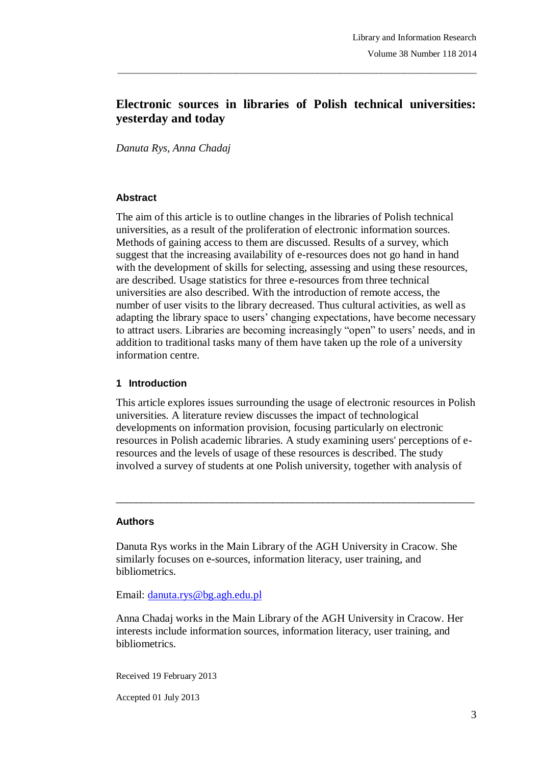# **Electronic sources in libraries of Polish technical universities: yesterday and today**

\_\_\_\_\_\_\_\_\_\_\_\_\_\_\_\_\_\_\_\_\_\_\_\_\_\_\_\_\_\_\_\_\_\_\_\_\_\_\_\_\_\_\_\_\_\_\_\_\_\_\_\_\_\_\_\_\_\_\_\_\_\_\_\_\_\_\_\_\_\_\_\_\_\_\_\_\_\_\_

*Danuta Rys, Anna Chadaj*

#### **Abstract**

The aim of this article is to outline changes in the libraries of Polish technical universities, as a result of the proliferation of electronic information sources. Methods of gaining access to them are discussed. Results of a survey, which suggest that the increasing availability of e-resources does not go hand in hand with the development of skills for selecting, assessing and using these resources, are described. Usage statistics for three e-resources from three technical universities are also described. With the introduction of remote access, the number of user visits to the library decreased. Thus cultural activities, as well as adapting the library space to users' changing expectations, have become necessary to attract users. Libraries are becoming increasingly "open" to users' needs, and in addition to traditional tasks many of them have taken up the role of a university information centre.

#### **1 Introduction**

This article explores issues surrounding the usage of electronic resources in Polish universities. A literature review discusses the impact of technological developments on information provision, focusing particularly on electronic resources in Polish academic libraries. A study examining users' perceptions of eresources and the levels of usage of these resources is described. The study involved a survey of students at one Polish university, together with analysis of

 $\_$  ,  $\_$  ,  $\_$  ,  $\_$  ,  $\_$  ,  $\_$  ,  $\_$  ,  $\_$  ,  $\_$  ,  $\_$  ,  $\_$  ,  $\_$  ,  $\_$  ,  $\_$  ,  $\_$  ,  $\_$  ,  $\_$  ,  $\_$  ,  $\_$  ,  $\_$ 

#### **Authors**

Danuta Rys works in the Main Library of the AGH University in Cracow. She similarly focuses on e-sources, information literacy, user training, and bibliometrics.

Email: danuta.rys@bg.agh.edu.pl

Anna Chadaj works in the Main Library of the AGH University in Cracow. Her interests include information sources, information literacy, user training, and bibliometrics.

Received 19 February 2013

Accepted 01 July 2013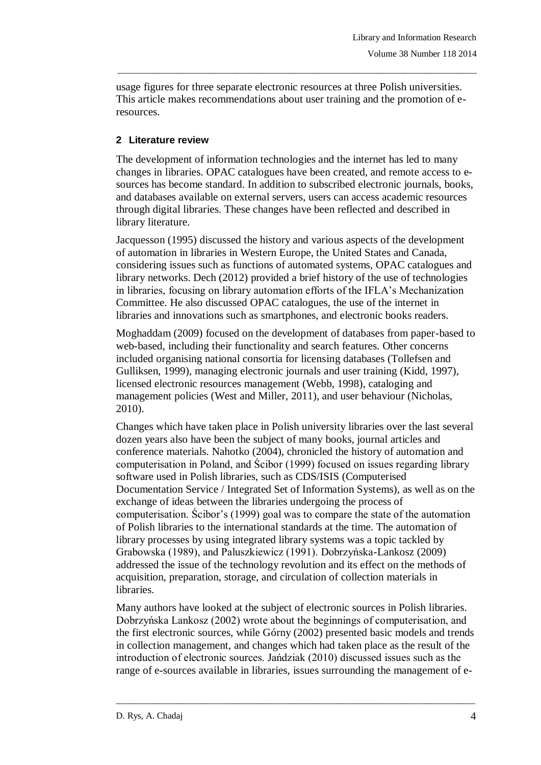usage figures for three separate electronic resources at three Polish universities. This article makes recommendations about user training and the promotion of eresources.

\_\_\_\_\_\_\_\_\_\_\_\_\_\_\_\_\_\_\_\_\_\_\_\_\_\_\_\_\_\_\_\_\_\_\_\_\_\_\_\_\_\_\_\_\_\_\_\_\_\_\_\_\_\_\_\_\_\_\_\_\_\_\_\_\_\_\_\_\_\_\_\_\_\_\_\_\_\_\_

### **2 Literature review**

The development of information technologies and the internet has led to many changes in libraries. OPAC catalogues have been created, and remote access to esources has become standard. In addition to subscribed electronic journals, books, and databases available on external servers, users can access academic resources through digital libraries. These changes have been reflected and described in library literature.

Jacquesson (1995) discussed the history and various aspects of the development of automation in libraries in Western Europe, the United States and Canada, considering issues such as functions of automated systems, OPAC catalogues and library networks. Dech (2012) provided a brief history of the use of technologies in libraries, focusing on library automation efforts of the IFLA's Mechanization Committee. He also discussed OPAC catalogues, the use of the internet in libraries and innovations such as smartphones, and electronic books readers.

Moghaddam (2009) focused on the development of databases from paper-based to web-based, including their functionality and search features. Other concerns included organising national consortia for licensing databases (Tollefsen and Gulliksen, 1999), managing electronic journals and user training (Kidd, 1997), licensed electronic resources management (Webb, 1998), cataloging and management policies (West and Miller, 2011), and user behaviour (Nicholas, 2010).

Changes which have taken place in Polish university libraries over the last several dozen years also have been the subject of many books, journal articles and conference materials. Nahotko (2004), chronicled the history of automation and computerisation in Poland, and Ścibor (1999) focused on issues regarding library software used in Polish libraries, such as CDS/ISIS (Computerised Documentation Service / Integrated Set of Information Systems), as well as on the exchange of ideas between the libraries undergoing the process of computerisation. Ścibor's (1999) goal was to compare the state of the automation of Polish libraries to the international standards at the time. The automation of library processes by using integrated library systems was a topic tackled by Grabowska (1989), and Paluszkiewicz (1991). Dobrzyńska-Lankosz (2009) addressed the issue of the technology revolution and its effect on the methods of acquisition, preparation, storage, and circulation of collection materials in libraries.

Many authors have looked at the subject of electronic sources in Polish libraries. Dobrzyńska Lankosz (2002) wrote about the beginnings of computerisation, and the first electronic sources, while Górny (2002) presented basic models and trends in collection management, and changes which had taken place as the result of the introduction of electronic sources. Jańdziak (2010) discussed issues such as the range of e-sources available in libraries, issues surrounding the management of e-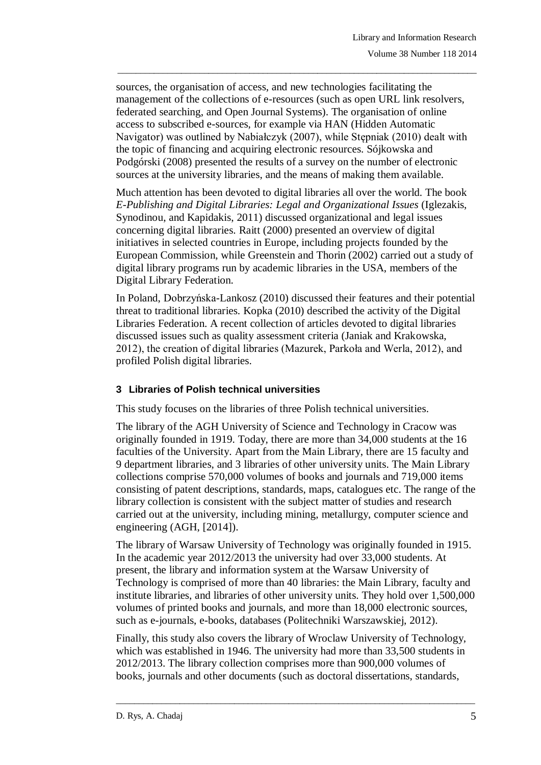sources, the organisation of access, and new technologies facilitating the management of the collections of e-resources (such as open URL link resolvers, federated searching, and Open Journal Systems). The organisation of online access to subscribed e-sources, for example via HAN (Hidden Automatic Navigator) was outlined by Nabiałczyk (2007), while Stępniak (2010) dealt with the topic of financing and acquiring electronic resources. Sójkowska and Podgórski (2008) presented the results of a survey on the number of electronic sources at the university libraries, and the means of making them available.

\_\_\_\_\_\_\_\_\_\_\_\_\_\_\_\_\_\_\_\_\_\_\_\_\_\_\_\_\_\_\_\_\_\_\_\_\_\_\_\_\_\_\_\_\_\_\_\_\_\_\_\_\_\_\_\_\_\_\_\_\_\_\_\_\_\_\_\_\_\_\_\_\_\_\_\_\_\_\_

Much attention has been devoted to digital libraries all over the world. The book *E-Publishing and Digital Libraries: Legal and Organizational Issues* (Iglezakis, Synodinou, and Kapidakis, 2011) discussed organizational and legal issues concerning digital libraries. Raitt (2000) presented an overview of digital initiatives in selected countries in Europe, including projects founded by the European Commission, while Greenstein and Thorin (2002) carried out a study of digital library programs run by academic libraries in the USA, members of the Digital Library Federation.

In Poland, Dobrzyńska-Lankosz (2010) discussed their features and their potential threat to traditional libraries. Kopka (2010) described the activity of the Digital Libraries Federation. A recent collection of articles devoted to digital libraries discussed issues such as quality assessment criteria (Janiak and Krakowska, 2012), the creation of digital libraries (Mazurek, Parkoła and Werla, 2012), and profiled Polish digital libraries.

#### **3 Libraries of Polish technical universities**

This study focuses on the libraries of three Polish technical universities.

The library of the AGH University of Science and Technology in Cracow was originally founded in 1919. Today, there are more than 34,000 students at the 16 faculties of the University. Apart from the Main Library, there are 15 faculty and 9 department libraries, and 3 libraries of other university units. The Main Library collections comprise 570,000 volumes of books and journals and 719,000 items consisting of patent descriptions, standards, maps, catalogues etc. The range of the library collection is consistent with the subject matter of studies and research carried out at the university, including mining, metallurgy, computer science and engineering (AGH, [2014]).

The library of Warsaw University of Technology was originally founded in 1915. In the academic year 2012/2013 the university had over 33,000 students. At present, the library and information system at the Warsaw University of Technology is comprised of more than 40 libraries: the Main Library, faculty and institute libraries, and libraries of other university units. They hold over 1,500,000 volumes of printed books and journals, and more than 18,000 electronic sources, such as e-journals, e-books, databases (Politechniki Warszawskiej, 2012).

Finally, this study also covers the library of Wroclaw University of Technology, which was established in 1946. The university had more than 33,500 students in 2012/2013. The library collection comprises more than 900,000 volumes of books, journals and other documents (such as doctoral dissertations, standards,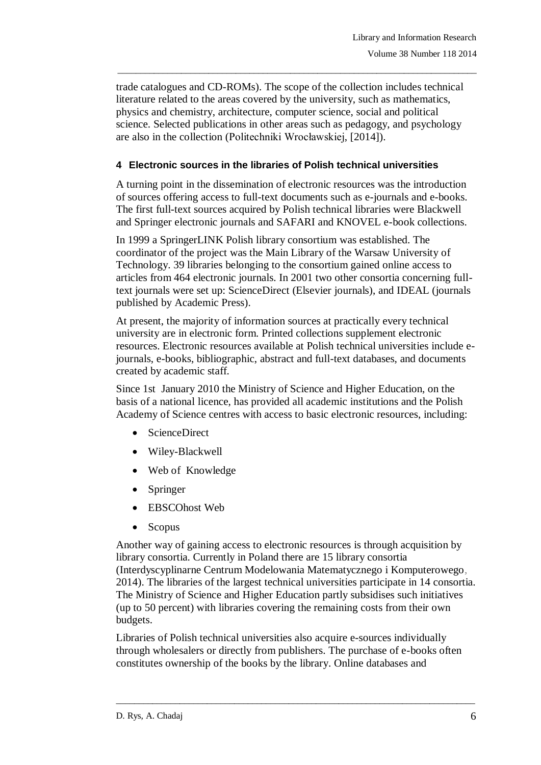trade catalogues and CD-ROMs). The scope of the collection includes technical literature related to the areas covered by the university, such as mathematics, physics and chemistry, architecture, computer science, social and political science. Selected publications in other areas such as pedagogy, and psychology are also in the collection (Politechniki Wrocławskiej, [2014]).

\_\_\_\_\_\_\_\_\_\_\_\_\_\_\_\_\_\_\_\_\_\_\_\_\_\_\_\_\_\_\_\_\_\_\_\_\_\_\_\_\_\_\_\_\_\_\_\_\_\_\_\_\_\_\_\_\_\_\_\_\_\_\_\_\_\_\_\_\_\_\_\_\_\_\_\_\_\_\_

### **4 Electronic sources in the libraries of Polish technical universities**

A turning point in the dissemination of electronic resources was the introduction of sources offering access to full-text documents such as e-journals and e-books. The first full-text sources acquired by Polish technical libraries were Blackwell and Springer electronic journals and SAFARI and KNOVEL e-book collections.

In 1999 a SpringerLINK Polish library consortium was established. The coordinator of the project was the Main Library of the Warsaw University of Technology. 39 libraries belonging to the consortium gained online access to articles from 464 electronic journals. In 2001 two other consortia concerning fulltext journals were set up: ScienceDirect (Elsevier journals), and IDEAL (journals published by Academic Press).

At present, the majority of information sources at practically every technical university are in electronic form. Printed collections supplement electronic resources. Electronic resources available at Polish technical universities include ejournals, e-books, bibliographic, abstract and full-text databases, and documents created by academic staff.

Since 1st January 2010 the Ministry of Science and Higher Education, on the basis of a national licence, has provided all academic institutions and the Polish Academy of Science centres with access to basic electronic resources, including:

- ScienceDirect
- Wiley-Blackwell
- Web of Knowledge
- Springer
- EBSCOhost Web
- Scopus

Another way of gaining access to electronic resources is through acquisition by library consortia. Currently in Poland there are 15 library consortia (Interdyscyplinarne Centrum Modelowania Matematycznego i Komputerowego, 2014). The libraries of the largest technical universities participate in 14 consortia. The Ministry of Science and Higher Education partly subsidises such initiatives (up to 50 percent) with libraries covering the remaining costs from their own budgets.

Libraries of Polish technical universities also acquire e-sources individually through wholesalers or directly from publishers. The purchase of e-books often constitutes ownership of the books by the library. Online databases and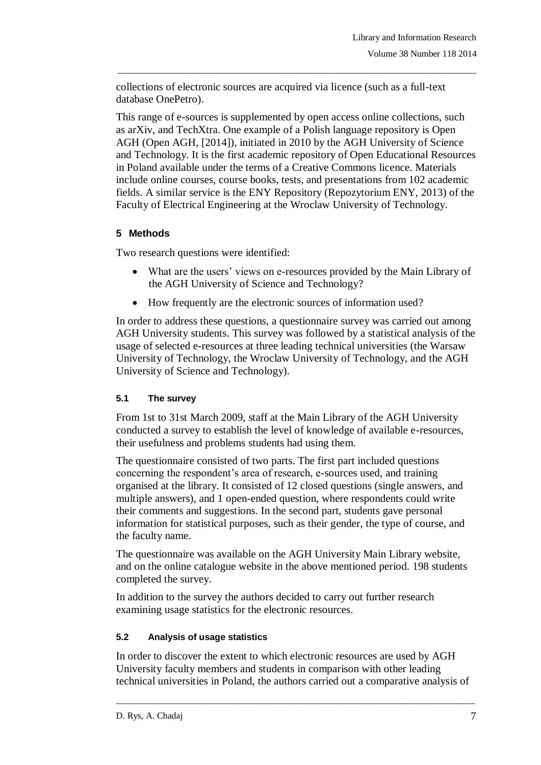collections of electronic sources are acquired via licence (such as a full-text database OnePetro).

This range of e-sources is supplemented by open access online collections, such as arXiv, and TechXtra. One example of a Polish language repository is Open AGH (Open AGH, [2014]), initiated in 2010 by the AGH University of Science and Technology. It is the first academic repository of Open Educational Resources in Poland available under the terms of a Creative Commons licence. Materials include online courses, course books, tests, and presentations from 102 academic fields. A similar service is the ENY Repository (Repozytorium ENY, 2013) of the Faculty of Electrical Engineering at the Wroclaw University of Technology.

\_\_\_\_\_\_\_\_\_\_\_\_\_\_\_\_\_\_\_\_\_\_\_\_\_\_\_\_\_\_\_\_\_\_\_\_\_\_\_\_\_\_\_\_\_\_\_\_\_\_\_\_\_\_\_\_\_\_\_\_\_\_\_\_\_\_\_\_\_\_\_\_\_\_\_\_\_\_\_

# **5 Methods**

Two research questions were identified:

- What are the users' views on e-resources provided by the Main Library of the AGH University of Science and Technology?
- How frequently are the electronic sources of information used?

In order to address these questions, a questionnaire survey was carried out among AGH University students. This survey was followed by a statistical analysis of the usage of selected e-resources at three leading technical universities (the Warsaw University of Technology, the Wroclaw University of Technology, and the AGH University of Science and Technology).

## **5.1 The survey**

From 1st to 31st March 2009, staff at the Main Library of the AGH University conducted a survey to establish the level of knowledge of available e-resources, their usefulness and problems students had using them.

The questionnaire consisted of two parts. The first part included questions concerning the respondent's area of research, e-sources used, and training organised at the library. It consisted of 12 closed questions (single answers, and multiple answers), and 1 open-ended question, where respondents could write their comments and suggestions. In the second part, students gave personal information for statistical purposes, such as their gender, the type of course, and the faculty name.

The questionnaire was available on the AGH University Main Library website, and on the online catalogue website in the above mentioned period. 198 students completed the survey.

In addition to the survey the authors decided to carry out further research examining usage statistics for the electronic resources.

#### **5.2 Analysis of usage statistics**

In order to discover the extent to which electronic resources are used by AGH University faculty members and students in comparison with other leading technical universities in Poland, the authors carried out a comparative analysis of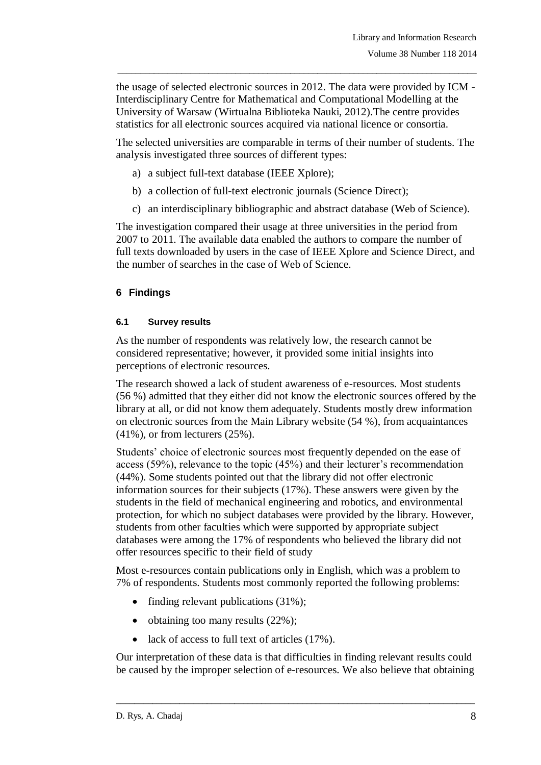the usage of selected electronic sources in 2012. The data were provided by ICM - Interdisciplinary Centre for Mathematical and Computational Modelling at the University of Warsaw (Wirtualna Biblioteka Nauki, 2012).The centre provides statistics for all electronic sources acquired via national licence or consortia.

\_\_\_\_\_\_\_\_\_\_\_\_\_\_\_\_\_\_\_\_\_\_\_\_\_\_\_\_\_\_\_\_\_\_\_\_\_\_\_\_\_\_\_\_\_\_\_\_\_\_\_\_\_\_\_\_\_\_\_\_\_\_\_\_\_\_\_\_\_\_\_\_\_\_\_\_\_\_\_

The selected universities are comparable in terms of their number of students. The analysis investigated three sources of different types:

- a) a subject full-text database (IEEE Xplore);
- b) a collection of full-text electronic journals (Science Direct);
- c) an interdisciplinary bibliographic and abstract database (Web of Science).

The investigation compared their usage at three universities in the period from 2007 to 2011. The available data enabled the authors to compare the number of full texts downloaded by users in the case of IEEE Xplore and Science Direct, and the number of searches in the case of Web of Science.

## **6 Findings**

#### **6.1 Survey results**

As the number of respondents was relatively low, the research cannot be considered representative; however, it provided some initial insights into perceptions of electronic resources.

The research showed a lack of student awareness of e-resources. Most students (56 %) admitted that they either did not know the electronic sources offered by the library at all, or did not know them adequately. Students mostly drew information on electronic sources from the Main Library website (54 %), from acquaintances (41%), or from lecturers (25%).

Students' choice of electronic sources most frequently depended on the ease of access (59%), relevance to the topic (45%) and their lecturer's recommendation (44%). Some students pointed out that the library did not offer electronic information sources for their subjects (17%). These answers were given by the students in the field of mechanical engineering and robotics, and environmental protection, for which no subject databases were provided by the library. However, students from other faculties which were supported by appropriate subject databases were among the 17% of respondents who believed the library did not offer resources specific to their field of study

Most e-resources contain publications only in English, which was a problem to 7% of respondents. Students most commonly reported the following problems:

- finding relevant publications  $(31\%)$ ;
- obtaining too many results  $(22\%)$ ;
- lack of access to full text of articles (17%).

Our interpretation of these data is that difficulties in finding relevant results could be caused by the improper selection of e-resources. We also believe that obtaining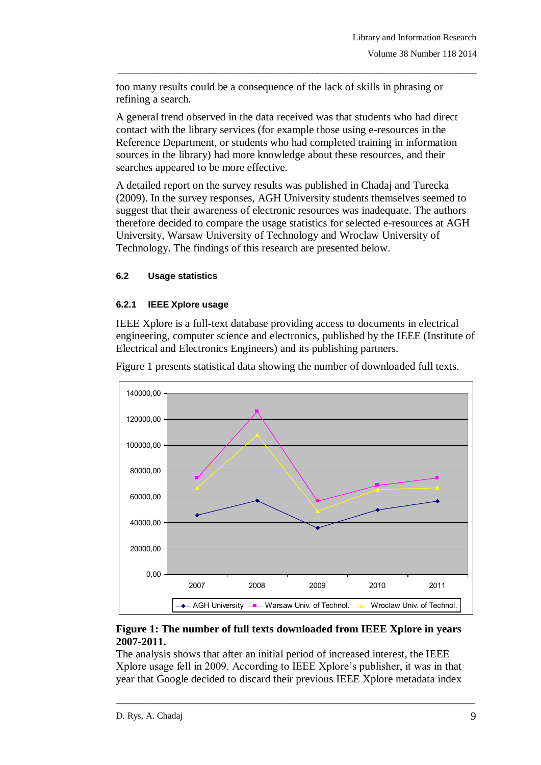too many results could be a consequence of the lack of skills in phrasing or refining a search.

\_\_\_\_\_\_\_\_\_\_\_\_\_\_\_\_\_\_\_\_\_\_\_\_\_\_\_\_\_\_\_\_\_\_\_\_\_\_\_\_\_\_\_\_\_\_\_\_\_\_\_\_\_\_\_\_\_\_\_\_\_\_\_\_\_\_\_\_\_\_\_\_\_\_\_\_\_\_\_

A general trend observed in the data received was that students who had direct contact with the library services (for example those using e-resources in the Reference Department, or students who had completed training in information sources in the library) had more knowledge about these resources, and their searches appeared to be more effective.

A detailed report on the survey results was published in Chadaj and Turecka (2009). In the survey responses, AGH University students themselves seemed to suggest that their awareness of electronic resources was inadequate. The authors therefore decided to compare the usage statistics for selected e-resources at AGH University, Warsaw University of Technology and Wroclaw University of Technology. The findings of this research are presented below.

#### **6.2 Usage statistics**

#### **6.2.1 IEEE Xplore usage**

IEEE Xplore is a full-text database providing access to documents in electrical engineering, computer science and electronics, published by the IEEE (Institute of Electrical and Electronics Engineers) and its publishing partners.



Figure 1 presents statistical data showing the number of downloaded full texts.

### **Figure 1: The number of full texts downloaded from IEEE Xplore in years 2007-2011.**

The analysis shows that after an initial period of increased interest, the IEEE Xplore usage fell in 2009. According to IEEE Xplore's publisher, it was in that year that Google decided to discard their previous IEEE Xplore metadata index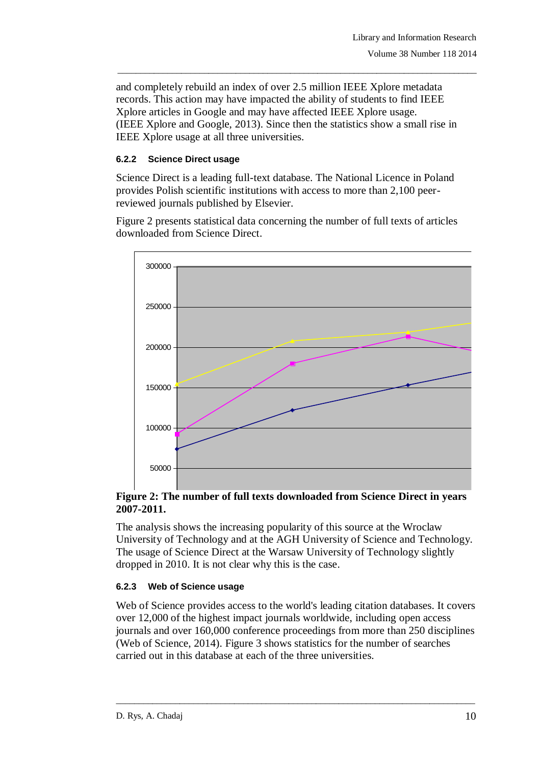and completely rebuild an index of over 2.5 million IEEE Xplore metadata records. This action may have impacted the ability of students to find IEEE Xplore articles in Google and may have affected IEEE Xplore usage. (IEEE Xplore and Google, 2013). Since then the statistics show a small rise in IEEE Xplore usage at all three universities.

\_\_\_\_\_\_\_\_\_\_\_\_\_\_\_\_\_\_\_\_\_\_\_\_\_\_\_\_\_\_\_\_\_\_\_\_\_\_\_\_\_\_\_\_\_\_\_\_\_\_\_\_\_\_\_\_\_\_\_\_\_\_\_\_\_\_\_\_\_\_\_\_\_\_\_\_\_\_\_

#### **6.2.2 Science Direct usage**

Science Direct is a leading full-text database. The National Licence in Poland provides Polish scientific institutions with access to more than 2,100 peerreviewed journals published by Elsevier.

Figure 2 presents statistical data concerning the number of full texts of articles downloaded from Science Direct.



**Figure 2: The number of full texts downloaded from Science Direct in years 2007-2011.** 0

The analysis shows the increasing popularity of this source at the Wroclaw University of Technology and at the AGH University of Science and Technology. The usage of Science Direct at the Warsaw University of Technology slightly dropped in 2010. It is not clear why this is the case.

#### **6.2.3 Web of Science usage**

Web of Science provides access to the world's leading citation databases. It covers over 12,000 of the highest impact journals worldwide, including open access journals and over 160,000 conference proceedings from more than 250 disciplines (Web of Science, 2014). Figure 3 shows statistics for the number of searches carried out in this database at each of the three universities.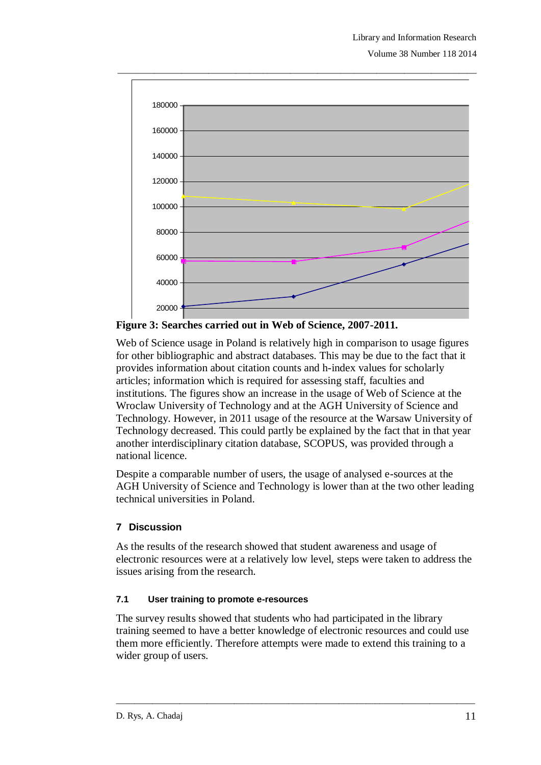

\_\_\_\_\_\_\_\_\_\_\_\_\_\_\_\_\_\_\_\_\_\_\_\_\_\_\_\_\_\_\_\_\_\_\_\_\_\_\_\_\_\_\_\_\_\_\_\_\_\_\_\_\_\_\_\_\_\_\_\_\_\_\_\_\_\_\_\_\_\_\_\_\_\_\_\_\_\_\_

**Figure 3: Searches carried out in Web of Science, 2007-2011.**

Web of Science usage in Poland is relatively high in comparison to usage figures provides information about citation counts and h-index values for scholarly for other bibliographic and abstract databases. This may be due to the fact that it articles; information which is required for assessing staff, faculties and institutions. The figures show an increase in the usage of Web of Science at the Wroclaw University of Technology and at the AGH University of Science and Technology. However, in 2011 usage of the resource at the Warsaw University of Technology decreased. This could partly be explained by the fact that in that year another interdisciplinary citation database, SCOPUS, was provided through a national licence.

Despite a comparable number of users, the usage of analysed e-sources at the AGH University of Science and Technology is lower than at the two other leading technical universities in Poland.

## **7 Discussion**

As the results of the research showed that student awareness and usage of electronic resources were at a relatively low level, steps were taken to address the issues arising from the research.

## **7.1 User training to promote e-resources**

The survey results showed that students who had participated in the library training seemed to have a better knowledge of electronic resources and could use them more efficiently. Therefore attempts were made to extend this training to a wider group of users.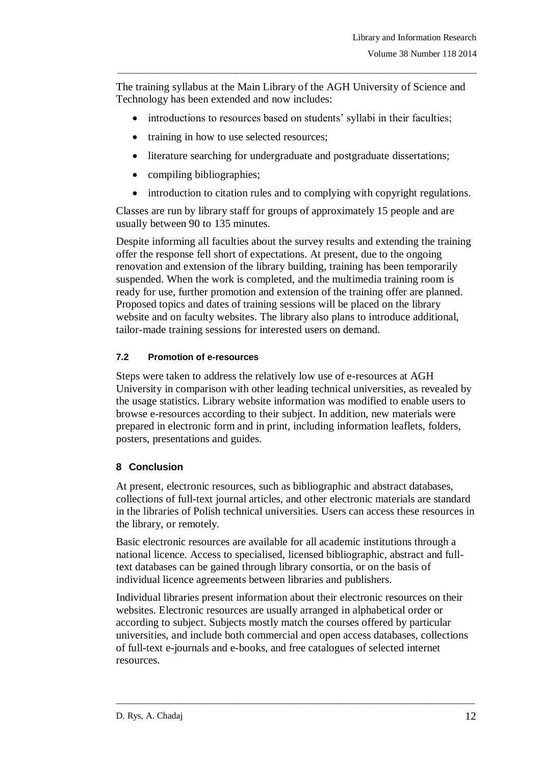The training syllabus at the Main Library of the AGH University of Science and Technology has been extended and now includes:

\_\_\_\_\_\_\_\_\_\_\_\_\_\_\_\_\_\_\_\_\_\_\_\_\_\_\_\_\_\_\_\_\_\_\_\_\_\_\_\_\_\_\_\_\_\_\_\_\_\_\_\_\_\_\_\_\_\_\_\_\_\_\_\_\_\_\_\_\_\_\_\_\_\_\_\_\_\_\_

- introductions to resources based on students' syllabi in their faculties;
- training in how to use selected resources;
- literature searching for undergraduate and postgraduate dissertations;
- compiling bibliographies;
- introduction to citation rules and to complying with copyright regulations.

Classes are run by library staff for groups of approximately 15 people and are usually between 90 to 135 minutes.

Despite informing all faculties about the survey results and extending the training offer the response fell short of expectations. At present, due to the ongoing renovation and extension of the library building, training has been temporarily suspended. When the work is completed, and the multimedia training room is ready for use, further promotion and extension of the training offer are planned. Proposed topics and dates of training sessions will be placed on the library website and on faculty websites. The library also plans to introduce additional, tailor-made training sessions for interested users on demand.

## **7.2 Promotion of e-resources**

Steps were taken to address the relatively low use of e-resources at AGH University in comparison with other leading technical universities, as revealed by the usage statistics. Library website information was modified to enable users to browse e-resources according to their subject. In addition, new materials were prepared in electronic form and in print, including information leaflets, folders, posters, presentations and guides.

## **8 Conclusion**

At present, electronic resources, such as bibliographic and abstract databases, collections of full-text journal articles, and other electronic materials are standard in the libraries of Polish technical universities. Users can access these resources in the library, or remotely.

Basic electronic resources are available for all academic institutions through a national licence. Access to specialised, licensed bibliographic, abstract and fulltext databases can be gained through library consortia, or on the basis of individual licence agreements between libraries and publishers.

Individual libraries present information about their electronic resources on their websites. Electronic resources are usually arranged in alphabetical order or according to subject. Subjects mostly match the courses offered by particular universities, and include both commercial and open access databases, collections of full-text e-journals and e-books, and free catalogues of selected internet resources.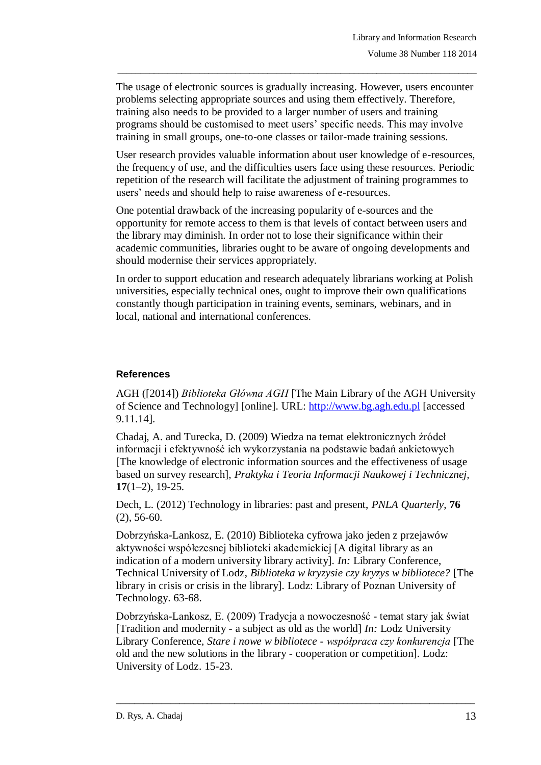The usage of electronic sources is gradually increasing. However, users encounter problems selecting appropriate sources and using them effectively. Therefore, training also needs to be provided to a larger number of users and training programs should be customised to meet users' specific needs. This may involve training in small groups, one-to-one classes or tailor-made training sessions.

\_\_\_\_\_\_\_\_\_\_\_\_\_\_\_\_\_\_\_\_\_\_\_\_\_\_\_\_\_\_\_\_\_\_\_\_\_\_\_\_\_\_\_\_\_\_\_\_\_\_\_\_\_\_\_\_\_\_\_\_\_\_\_\_\_\_\_\_\_\_\_\_\_\_\_\_\_\_\_

User research provides valuable information about user knowledge of e-resources, the frequency of use, and the difficulties users face using these resources. Periodic repetition of the research will facilitate the adjustment of training programmes to users' needs and should help to raise awareness of e-resources.

One potential drawback of the increasing popularity of e-sources and the opportunity for remote access to them is that levels of contact between users and the library may diminish. In order not to lose their significance within their academic communities, libraries ought to be aware of ongoing developments and should modernise their services appropriately.

In order to support education and research adequately librarians working at Polish universities, especially technical ones, ought to improve their own qualifications constantly though participation in training events, seminars, webinars, and in local, national and international conferences.

### **References**

AGH ([2014]) *Biblioteka Główna AGH* [The Main Library of the AGH University of Science and Technology] [online]. URL: [http://www.bg.agh.edu.pl](http://www.bg.agh.edu.pl/) [accessed 9.11.14].

Chadaj, A. and Turecka, D. (2009) Wiedza na temat elektronicznych źródeł informacji i efektywność ich wykorzystania na podstawie badań ankietowych [The knowledge of electronic information sources and the effectiveness of usage based on survey research], *Praktyka i Teoria Informacji Naukowej i Technicznej,* **17**(1–2), 19-25.

Dech, L. (2012) Technology in libraries: past and present, *PNLA Quarterly*, **76** (2), 56-60.

Dobrzyńska-Lankosz, E. (2010) Biblioteka cyfrowa jako jeden z przejawów aktywności współczesnej biblioteki akademickiej [A digital library as an indication of a modern university library activity]. *In:* Library Conference, Technical University of Lodz, *Biblioteka w kryzysie czy kryzys w bibliotece?* [The library in crisis or crisis in the library]. Lodz: Library of Poznan University of Technology. 63-68.

Dobrzyńska-Lankosz, E. (2009) Tradycja a nowoczesność - temat stary jak świat [Tradition and modernity - a subject as old as the world] *In:* Lodz University Library Conference, *Stare i nowe w bibliotece - współpraca czy konkurencja* [The old and the new solutions in the library - cooperation or competition]. Lodz: University of Lodz. 15-23.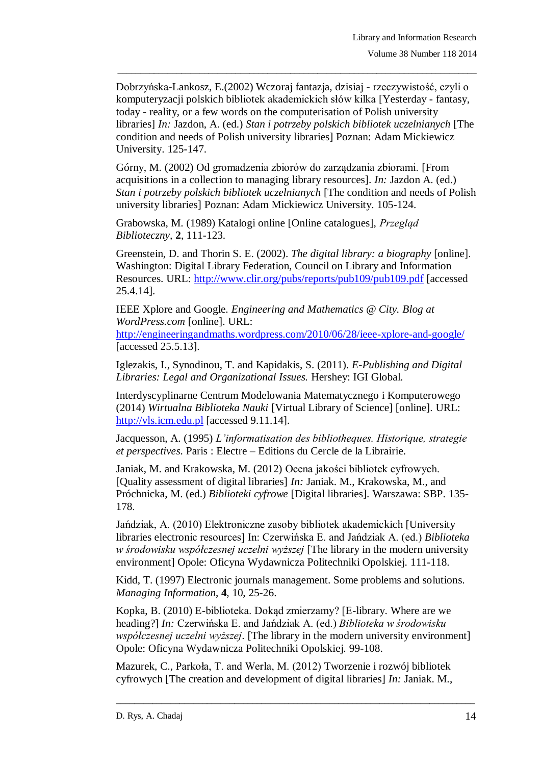Dobrzyńska-Lankosz, E.(2002) Wczoraj fantazja, dzisiaj - rzeczywistość, czyli o komputeryzacji polskich bibliotek akademickich słów kilka [Yesterday - fantasy, today - reality, or a few words on the computerisation of Polish university libraries] *In:* Jazdon, A. (ed.) *Stan i potrzeby polskich bibliotek uczelnianych* [The condition and needs of Polish university libraries] Poznan: Adam Mickiewicz University. 125-147.

\_\_\_\_\_\_\_\_\_\_\_\_\_\_\_\_\_\_\_\_\_\_\_\_\_\_\_\_\_\_\_\_\_\_\_\_\_\_\_\_\_\_\_\_\_\_\_\_\_\_\_\_\_\_\_\_\_\_\_\_\_\_\_\_\_\_\_\_\_\_\_\_\_\_\_\_\_\_\_

Górny, M. (2002) Od gromadzenia zbiorów do zarządzania zbiorami. [From acquisitions in a collection to managing library resources]. *In:* Jazdon A. (ed.) *Stan i potrzeby polskich bibliotek uczelnianych* [The condition and needs of Polish university libraries] Poznan: Adam Mickiewicz University. 105-124.

Grabowska, M. (1989) Katalogi online [Online catalogues], *Przegląd Biblioteczny,* **2**, 111-123.

Greenstein, D. and Thorin S. E. (2002). *The digital library: a biography* [online]. Washington: Digital Library Federation, Council on Library and Information Resources. URL:<http://www.clir.org/pubs/reports/pub109/pub109.pdf> [accessed 25.4.14].

IEEE Xplore and Google. *Engineering and Mathematics @ City. Blog at WordPress.com* [online]. URL:

<http://engineeringandmaths.wordpress.com/2010/06/28/ieee-xplore-and-google/> [accessed 25.5.13].

Iglezakis, I., Synodinou, T. and Kapidakis, S. (2011). *E-Publishing and Digital Libraries: Legal and Organizational Issues.* Hershey: IGI Global.

Interdyscyplinarne Centrum Modelowania Matematycznego i Komputerowego (2014) *Wirtualna Biblioteka Nauki* [Virtual Library of Science] [online]. URL: [http://vls.icm.edu.pl](http://vls.icm.edu.pl/) [accessed 9.11.14].

Jacquesson, A. (1995) *L'informatisation des bibliotheques. Historique, strategie et perspectives*. Paris : Electre – Editions du Cercle de la Librairie.

Janiak, M. and Krakowska, M. (2012) Ocena jakości bibliotek cyfrowych. [Quality assessment of digital libraries] *In:* Janiak. M., Krakowska, M., and Próchnicka, M. (ed.) *Biblioteki cyfrowe* [Digital libraries]. Warszawa: SBP. 135- 178.

Jańdziak, A. (2010) Elektroniczne zasoby bibliotek akademickich [University libraries electronic resources] In: Czerwińska E. and Jańdziak A. (ed.) *Biblioteka w środowisku współczesnej uczelni wyższej* [The library in the modern university environment] Opole: Oficyna Wydawnicza Politechniki Opolskiej. 111-118.

Kidd, T. (1997) Electronic journals management. Some problems and solutions. *Managing Information*, **4**, 10, 25-26.

Kopka, B. (2010) E-biblioteka. Dokąd zmierzamy? [E-library. Where are we heading?] *In:* Czerwińska E. and Jańdziak A. (ed.) *Biblioteka w środowisku współczesnej uczelni wyższej*. [The library in the modern university environment] Opole: Oficyna Wydawnicza Politechniki Opolskiej. 99-108.

 $\_$  ,  $\_$  ,  $\_$  ,  $\_$  ,  $\_$  ,  $\_$  ,  $\_$  ,  $\_$  ,  $\_$  ,  $\_$  ,  $\_$  ,  $\_$  ,  $\_$  ,  $\_$  ,  $\_$  ,  $\_$  ,  $\_$  ,  $\_$  ,  $\_$  ,  $\_$  ,  $\_$  ,  $\_$  ,  $\_$  ,  $\_$  ,  $\_$  ,  $\_$  ,  $\_$  ,  $\_$  ,  $\_$  ,  $\_$  ,  $\_$  ,  $\_$  ,  $\_$  ,  $\_$  ,  $\_$  ,  $\_$  ,  $\_$  ,

Mazurek, C., Parkoła, T. and Werla, M. (2012) Tworzenie i rozwój bibliotek cyfrowych [The creation and development of digital libraries] *In:* Janiak. M.,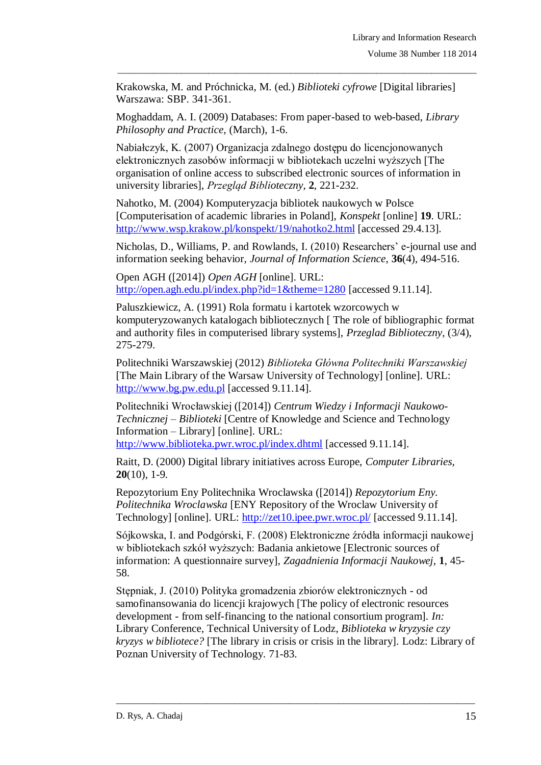Krakowska, M. and Próchnicka, M. (ed.) *Biblioteki cyfrowe* [Digital libraries] Warszawa: SBP. 341-361.

\_\_\_\_\_\_\_\_\_\_\_\_\_\_\_\_\_\_\_\_\_\_\_\_\_\_\_\_\_\_\_\_\_\_\_\_\_\_\_\_\_\_\_\_\_\_\_\_\_\_\_\_\_\_\_\_\_\_\_\_\_\_\_\_\_\_\_\_\_\_\_\_\_\_\_\_\_\_\_

Moghaddam, A. I. (2009) Databases: From paper-based to web-based, *Library Philosophy and Practice*, (March), 1-6.

Nabiałczyk, K. (2007) Organizacja zdalnego dostępu do licencjonowanych elektronicznych zasobów informacji w bibliotekach uczelni wyższych [The organisation of online access to subscribed electronic sources of information in university libraries], *Przegląd Biblioteczny*, **2**, 221-232.

Nahotko, M. (2004) Komputeryzacja bibliotek naukowych w Polsce [Computerisation of academic libraries in Poland], *Konspekt* [online] **19**. URL: <http://www.wsp.krakow.pl/konspekt/19/nahotko2.html> [accessed 29.4.13].

Nicholas, D., Williams, P. and Rowlands, I. (2010) Researchers' e-journal use and information seeking behavior, *Journal of Information Science*, **36**(4), 494-516.

Open AGH ([2014]) *Open AGH* [online]. URL: <http://open.agh.edu.pl/index.php?id=1&theme=1280> [accessed 9.11.14].

Paluszkiewicz, A. (1991) Rola formatu i kartotek wzorcowych w komputeryzowanych katalogach bibliotecznych [ The role of bibliographic format and authority files in computerised library systems], *Przeglad Biblioteczny,* (3/4), 275-279.

Politechniki Warszawskiej (2012) *Biblioteka Główna Politechniki Warszawskiej*  [The Main Library of the Warsaw University of Technology] [online]. URL: [http://www.bg.pw.edu.pl](http://www.bg.pw.edu.pl/) [accessed 9.11.14].

Politechniki Wrocławskiej ([2014]) *Centrum Wiedzy i Informacji Naukowo-Technicznej – Biblioteki* [Centre of Knowledge and Science and Technology Information – Library] [online]. URL:

<http://www.biblioteka.pwr.wroc.pl/index.dhtml> [accessed 9.11.14].

Raitt, D. (2000) Digital library initiatives across Europe, *Computer Libraries,* **20**(10), 1-9.

Repozytorium Eny Politechnika Wroclawska ([2014]) *Repozytorium Eny. Politechnika Wroclawska* [ENY Repository of the Wroclaw University of Technology] [online]. URL:<http://zet10.ipee.pwr.wroc.pl/> [accessed 9.11.14].

Sójkowska, I. and Podgórski, F. (2008) Elektroniczne źródła informacji naukowej w bibliotekach szkół wyższych: Badania ankietowe [Electronic sources of information: A questionnaire survey], *Zagadnienia Informacji Naukowej*, **1**, 45- 58.

Stępniak, J. (2010) Polityka gromadzenia zbiorów elektronicznych - od samofinansowania do licencji krajowych [The policy of electronic resources development - from self-financing to the national consortium program]. *In:* Library Conference, Technical University of Lodz, *Biblioteka w kryzysie czy kryzys w bibliotece?* [The library in crisis or crisis in the library]. Lodz: Library of Poznan University of Technology. 71-83.